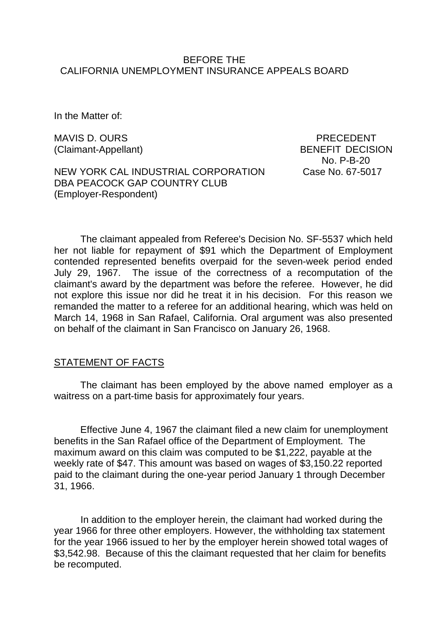#### BEFORE THE CALIFORNIA UNEMPLOYMENT INSURANCE APPEALS BOARD

In the Matter of:

MAVIS D. OURS PRECEDENT

(Claimant-Appellant) BENEFIT DECISION No. P-B-20

NEW YORK CAL INDUSTRIAL CORPORATION Case No. 67-5017 DBA PEACOCK GAP COUNTRY CLUB (Employer-Respondent)

The claimant appealed from Referee's Decision No. SF-5537 which held her not liable for repayment of \$91 which the Department of Employment contended represented benefits overpaid for the seven-week period ended July 29, 1967. The issue of the correctness of a recomputation of the claimant's award by the department was before the referee. However, he did not explore this issue nor did he treat it in his decision. For this reason we remanded the matter to a referee for an additional hearing, which was held on March 14, 1968 in San Rafael, California. Oral argument was also presented on behalf of the claimant in San Francisco on January 26, 1968.

#### STATEMENT OF FACTS

The claimant has been employed by the above named employer as a waitress on a part-time basis for approximately four years.

Effective June 4, 1967 the claimant filed a new claim for unemployment benefits in the San Rafael office of the Department of Employment. The maximum award on this claim was computed to be \$1,222, payable at the weekly rate of \$47. This amount was based on wages of \$3,150.22 reported paid to the claimant during the one-year period January 1 through December 31, 1966.

In addition to the employer herein, the claimant had worked during the year 1966 for three other employers. However, the withholding tax statement for the year 1966 issued to her by the employer herein showed total wages of \$3,542.98. Because of this the claimant requested that her claim for benefits be recomputed.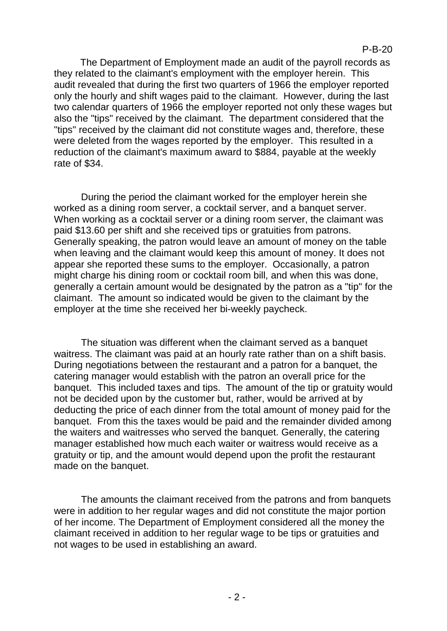The Department of Employment made an audit of the payroll records as they related to the claimant's employment with the employer herein. This audit revealed that during the first two quarters of 1966 the employer reported only the hourly and shift wages paid to the claimant. However, during the last two calendar quarters of 1966 the employer reported not only these wages but also the "tips" received by the claimant. The department considered that the "tips" received by the claimant did not constitute wages and, therefore, these were deleted from the wages reported by the employer. This resulted in a reduction of the claimant's maximum award to \$884, payable at the weekly rate of \$34.

During the period the claimant worked for the employer herein she worked as a dining room server, a cocktail server, and a banquet server. When working as a cocktail server or a dining room server, the claimant was paid \$13.60 per shift and she received tips or gratuities from patrons. Generally speaking, the patron would leave an amount of money on the table when leaving and the claimant would keep this amount of money. It does not appear she reported these sums to the employer. Occasionally, a patron might charge his dining room or cocktail room bill, and when this was done, generally a certain amount would be designated by the patron as a "tip" for the claimant. The amount so indicated would be given to the claimant by the employer at the time she received her bi-weekly paycheck.

The situation was different when the claimant served as a banquet waitress. The claimant was paid at an hourly rate rather than on a shift basis. During negotiations between the restaurant and a patron for a banquet, the catering manager would establish with the patron an overall price for the banquet. This included taxes and tips. The amount of the tip or gratuity would not be decided upon by the customer but, rather, would be arrived at by deducting the price of each dinner from the total amount of money paid for the banquet. From this the taxes would be paid and the remainder divided among the waiters and waitresses who served the banquet. Generally, the catering manager established how much each waiter or waitress would receive as a gratuity or tip, and the amount would depend upon the profit the restaurant made on the banquet.

The amounts the claimant received from the patrons and from banquets were in addition to her regular wages and did not constitute the major portion of her income. The Department of Employment considered all the money the claimant received in addition to her regular wage to be tips or gratuities and not wages to be used in establishing an award.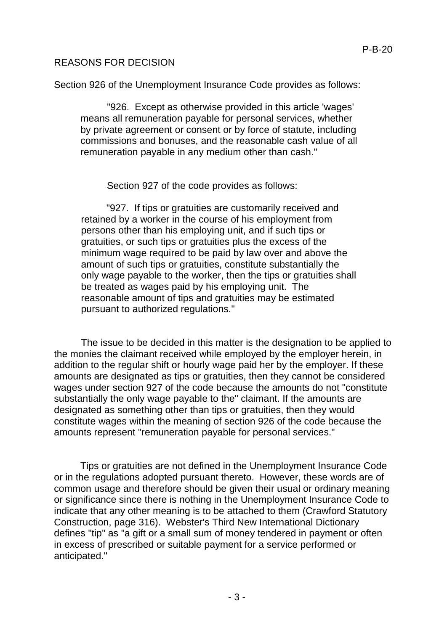## REASONS FOR DECISION

Section 926 of the Unemployment Insurance Code provides as follows:

"926. Except as otherwise provided in this article 'wages' means all remuneration payable for personal services, whether by private agreement or consent or by force of statute, including commissions and bonuses, and the reasonable cash value of all remuneration payable in any medium other than cash."

Section 927 of the code provides as follows:

"927. If tips or gratuities are customarily received and retained by a worker in the course of his employment from persons other than his employing unit, and if such tips or gratuities, or such tips or gratuities plus the excess of the minimum wage required to be paid by law over and above the amount of such tips or gratuities, constitute substantially the only wage payable to the worker, then the tips or gratuities shall be treated as wages paid by his employing unit. The reasonable amount of tips and gratuities may be estimated pursuant to authorized regulations."

The issue to be decided in this matter is the designation to be applied to the monies the claimant received while employed by the employer herein, in addition to the regular shift or hourly wage paid her by the employer. If these amounts are designated as tips or gratuities, then they cannot be considered wages under section 927 of the code because the amounts do not "constitute substantially the only wage payable to the" claimant. If the amounts are designated as something other than tips or gratuities, then they would constitute wages within the meaning of section 926 of the code because the amounts represent "remuneration payable for personal services."

Tips or gratuities are not defined in the Unemployment Insurance Code or in the regulations adopted pursuant thereto. However, these words are of common usage and therefore should be given their usual or ordinary meaning or significance since there is nothing in the Unemployment Insurance Code to indicate that any other meaning is to be attached to them (Crawford Statutory Construction, page 316). Webster's Third New International Dictionary defines "tip" as "a gift or a small sum of money tendered in payment or often in excess of prescribed or suitable payment for a service performed or anticipated."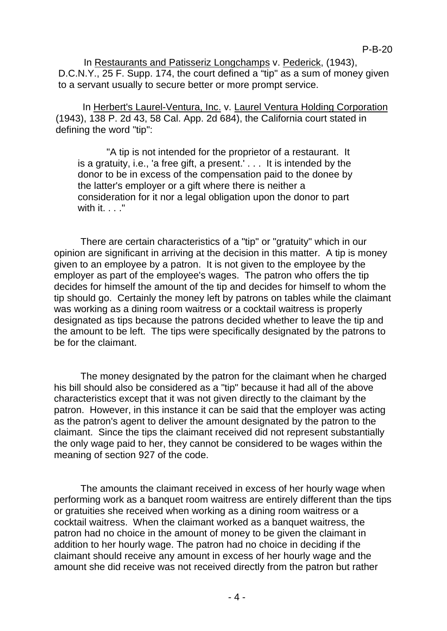In Restaurants and Patisseriz Longchamps v. Pederick, (1943), D.C.N.Y., 25 F. Supp. 174, the court defined a "tip" as a sum of money given to a servant usually to secure better or more prompt service.

In Herbert's Laurel-Ventura, Inc. v. Laurel Ventura Holding Corporation (1943), 138 P. 2d 43, 58 Cal. App. 2d 684), the California court stated in defining the word "tip":

"A tip is not intended for the proprietor of a restaurant. It is a gratuity, i.e., 'a free gift, a present.' . . . It is intended by the donor to be in excess of the compensation paid to the donee by the latter's employer or a gift where there is neither a consideration for it nor a legal obligation upon the donor to part with it....."

There are certain characteristics of a "tip" or "gratuity" which in our opinion are significant in arriving at the decision in this matter. A tip is money given to an employee by a patron. It is not given to the employee by the employer as part of the employee's wages. The patron who offers the tip decides for himself the amount of the tip and decides for himself to whom the tip should go. Certainly the money left by patrons on tables while the claimant was working as a dining room waitress or a cocktail waitress is properly designated as tips because the patrons decided whether to leave the tip and the amount to be left. The tips were specifically designated by the patrons to be for the claimant.

The money designated by the patron for the claimant when he charged his bill should also be considered as a "tip" because it had all of the above characteristics except that it was not given directly to the claimant by the patron. However, in this instance it can be said that the employer was acting as the patron's agent to deliver the amount designated by the patron to the claimant. Since the tips the claimant received did not represent substantially the only wage paid to her, they cannot be considered to be wages within the meaning of section 927 of the code.

The amounts the claimant received in excess of her hourly wage when performing work as a banquet room waitress are entirely different than the tips or gratuities she received when working as a dining room waitress or a cocktail waitress. When the claimant worked as a banquet waitress, the patron had no choice in the amount of money to be given the claimant in addition to her hourly wage. The patron had no choice in deciding if the claimant should receive any amount in excess of her hourly wage and the amount she did receive was not received directly from the patron but rather